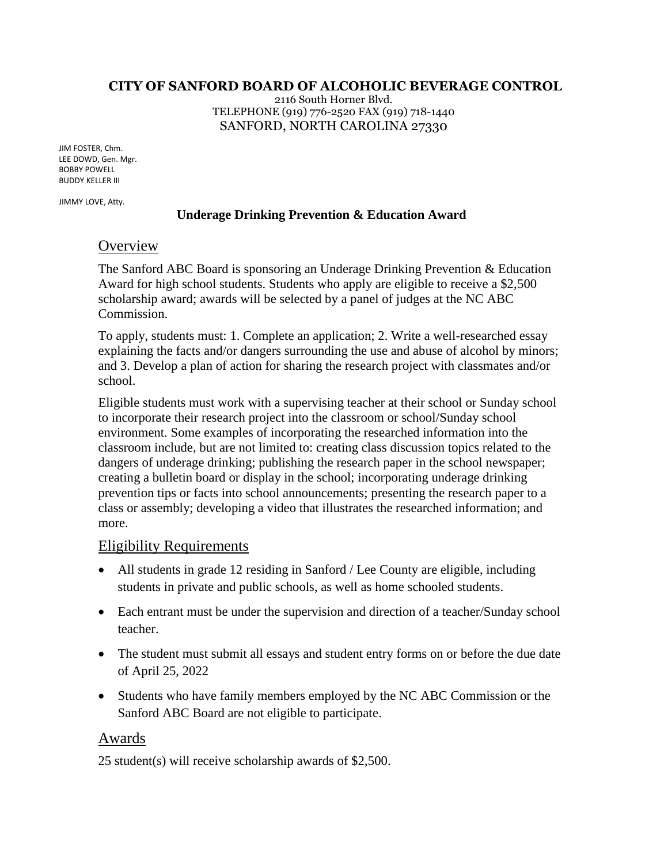#### **CITY OF SANFORD BOARD OF ALCOHOLIC BEVERAGE CONTROL**

2116 South Horner Blvd. TELEPHONE (919) 776-2520 FAX (919) 718-1440 SANFORD, NORTH CAROLINA 27330

JIM FOSTER, Chm. LEE DOWD, Gen. Mgr. BOBBY POWELL BUDDY KELLER III

JIMMY LOVE, Atty.

#### **Underage Drinking Prevention & Education Award**

## **Overview**

The Sanford ABC Board is sponsoring an Underage Drinking Prevention & Education Award for high school students. Students who apply are eligible to receive a \$2,500 scholarship award; awards will be selected by a panel of judges at the NC ABC Commission.

To apply, students must: 1. Complete an application; 2. Write a well-researched essay explaining the facts and/or dangers surrounding the use and abuse of alcohol by minors; and 3. Develop a plan of action for sharing the research project with classmates and/or school.

Eligible students must work with a supervising teacher at their school or Sunday school to incorporate their research project into the classroom or school/Sunday school environment. Some examples of incorporating the researched information into the classroom include, but are not limited to: creating class discussion topics related to the dangers of underage drinking; publishing the research paper in the school newspaper; creating a bulletin board or display in the school; incorporating underage drinking prevention tips or facts into school announcements; presenting the research paper to a class or assembly; developing a video that illustrates the researched information; and more.

### Eligibility Requirements

- All students in grade 12 residing in Sanford / Lee County are eligible, including students in private and public schools, as well as home schooled students.
- Each entrant must be under the supervision and direction of a teacher/Sunday school teacher.
- The student must submit all essays and student entry forms on or before the due date of April 25, 2022
- Students who have family members employed by the NC ABC Commission or the Sanford ABC Board are not eligible to participate.

### Awards

25 student(s) will receive scholarship awards of \$2,500.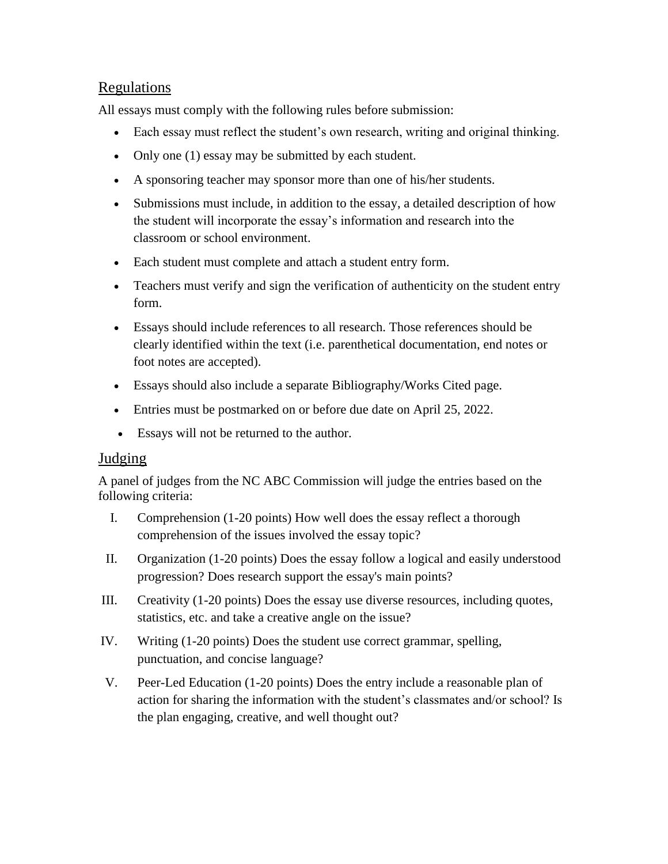# Regulations

All essays must comply with the following rules before submission:

- Each essay must reflect the student's own research, writing and original thinking.
- Only one (1) essay may be submitted by each student.
- A sponsoring teacher may sponsor more than one of his/her students.
- Submissions must include, in addition to the essay, a detailed description of how the student will incorporate the essay's information and research into the classroom or school environment.
- Each student must complete and attach a student entry form.
- Teachers must verify and sign the verification of authenticity on the student entry form.
- Essays should include references to all research. Those references should be clearly identified within the text (i.e. parenthetical documentation, end notes or foot notes are accepted).
- Essays should also include a separate Bibliography/Works Cited page.
- Entries must be postmarked on or before due date on April 25, 2022.
- Essays will not be returned to the author.

## Judging

A panel of judges from the NC ABC Commission will judge the entries based on the following criteria:

- I. Comprehension (1-20 points) How well does the essay reflect a thorough comprehension of the issues involved the essay topic?
- II. Organization (1-20 points) Does the essay follow a logical and easily understood progression? Does research support the essay's main points?
- III. Creativity (1-20 points) Does the essay use diverse resources, including quotes, statistics, etc. and take a creative angle on the issue?
- IV. Writing (1-20 points) Does the student use correct grammar, spelling, punctuation, and concise language?
- V. Peer-Led Education (1-20 points) Does the entry include a reasonable plan of action for sharing the information with the student's classmates and/or school? Is the plan engaging, creative, and well thought out?